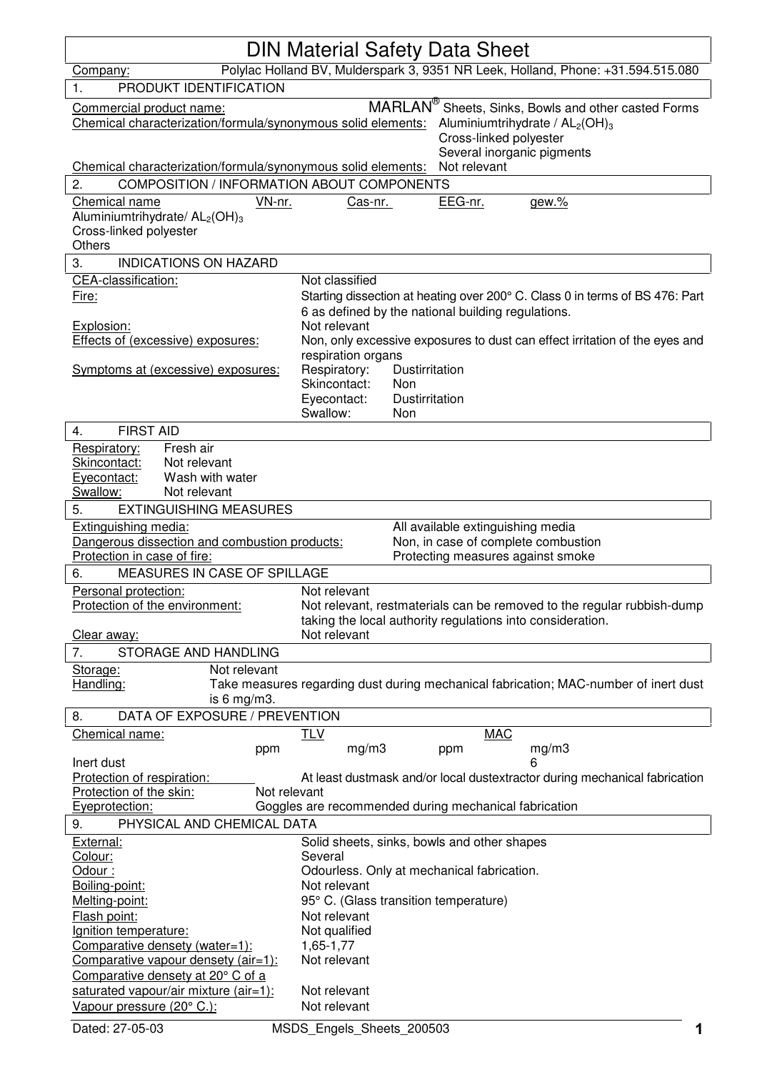| <b>DIN Material Safety Data Sheet</b>                                                                                                                                                                                                                        |                                                                                                                                                                      |  |  |
|--------------------------------------------------------------------------------------------------------------------------------------------------------------------------------------------------------------------------------------------------------------|----------------------------------------------------------------------------------------------------------------------------------------------------------------------|--|--|
| Company:                                                                                                                                                                                                                                                     | Polylac Holland BV, Mulderspark 3, 9351 NR Leek, Holland, Phone: +31.594.515.080                                                                                     |  |  |
| PRODUKT IDENTIFICATION<br>$\mathbf 1$ .                                                                                                                                                                                                                      |                                                                                                                                                                      |  |  |
| MARLAN <sup>®</sup> Sheets, Sinks, Bowls and other casted Forms<br>Commercial product name:<br>Chemical characterization/formula/synonymous solid elements:<br>Aluminiumtrihydrate / $AL2(OH)3$<br>Cross-linked polyester<br>Several inorganic pigments      |                                                                                                                                                                      |  |  |
| Chemical characterization/formula/synonymous solid elements:                                                                                                                                                                                                 | Not relevant                                                                                                                                                         |  |  |
| COMPOSITION / INFORMATION ABOUT COMPONENTS<br>2.                                                                                                                                                                                                             |                                                                                                                                                                      |  |  |
| Chemical name<br>VN-nr.<br>Aluminiumtrihydrate/ AL <sub>2</sub> (OH) <sub>3</sub><br>Cross-linked polyester<br><b>Others</b>                                                                                                                                 | EEG-nr.<br>gew.%<br>Cas-nr.                                                                                                                                          |  |  |
| <b>INDICATIONS ON HAZARD</b><br>3.                                                                                                                                                                                                                           |                                                                                                                                                                      |  |  |
| CEA-classification:<br>Fire:<br>Explosion:                                                                                                                                                                                                                   | Not classified<br>Starting dissection at heating over 200° C. Class 0 in terms of BS 476: Part<br>6 as defined by the national building regulations.<br>Not relevant |  |  |
| Effects of (excessive) exposures:                                                                                                                                                                                                                            | Non, only excessive exposures to dust can effect irritation of the eyes and<br>respiration organs                                                                    |  |  |
| Symptoms at (excessive) exposures:                                                                                                                                                                                                                           | Respiratory:<br>Dustirritation<br>Skincontact:<br>Non<br>Eyecontact:<br>Dustirritation<br>Swallow:<br>Non                                                            |  |  |
| <b>FIRST AID</b><br>4.                                                                                                                                                                                                                                       |                                                                                                                                                                      |  |  |
| Fresh air<br>Respiratory:<br>Skincontact:<br>Not relevant<br>Wash with water<br>Eyecontact:<br>Swallow:<br>Not relevant                                                                                                                                      |                                                                                                                                                                      |  |  |
| 5.<br><b>EXTINGUISHING MEASURES</b>                                                                                                                                                                                                                          |                                                                                                                                                                      |  |  |
| All available extinguishing media<br><b>Extinguishing media:</b><br>Dangerous dissection and combustion products:<br>Non, in case of complete combustion<br>Protection in case of fire:<br>Protecting measures against smoke<br>MEASURES IN CASE OF SPILLAGE |                                                                                                                                                                      |  |  |
| 6.<br>Personal protection:                                                                                                                                                                                                                                   | Not relevant                                                                                                                                                         |  |  |
| Protection of the environment:                                                                                                                                                                                                                               | Not relevant, restmaterials can be removed to the regular rubbish-dump<br>taking the local authority regulations into consideration.                                 |  |  |
| Clear away:                                                                                                                                                                                                                                                  | Not relevant                                                                                                                                                         |  |  |
| 7.<br>STORAGE AND HANDLING                                                                                                                                                                                                                                   |                                                                                                                                                                      |  |  |
| Not relevant<br>Storage:<br>Handling:<br>Take measures regarding dust during mechanical fabrication; MAC-number of inert dust<br>is 6 mg/m3.                                                                                                                 |                                                                                                                                                                      |  |  |
| DATA OF EXPOSURE / PREVENTION<br>8.                                                                                                                                                                                                                          |                                                                                                                                                                      |  |  |
| Chemical name:<br>ppm<br>Inert dust                                                                                                                                                                                                                          | <u>TLV</u><br><b>MAC</b><br>mg/m3<br>mg/m3<br>ppm<br>6                                                                                                               |  |  |
| Protection of respiration:<br>Not relevant<br>Protection of the skin:                                                                                                                                                                                        | At least dustmask and/or local dustextractor during mechanical fabrication                                                                                           |  |  |
| Goggles are recommended during mechanical fabrication<br>Eyeprotection:<br>PHYSICAL AND CHEMICAL DATA<br>9.                                                                                                                                                  |                                                                                                                                                                      |  |  |
| External:                                                                                                                                                                                                                                                    | Solid sheets, sinks, bowls and other shapes                                                                                                                          |  |  |
| Colour:                                                                                                                                                                                                                                                      | Several                                                                                                                                                              |  |  |
| Odour:<br>Boiling-point:                                                                                                                                                                                                                                     | Odourless. Only at mechanical fabrication.                                                                                                                           |  |  |
| Melting-point:                                                                                                                                                                                                                                               | Not relevant<br>95° C. (Glass transition temperature)                                                                                                                |  |  |
| Flash point:                                                                                                                                                                                                                                                 | Not relevant                                                                                                                                                         |  |  |
| Ignition temperature:                                                                                                                                                                                                                                        | Not qualified                                                                                                                                                        |  |  |
| Comparative densety (water=1):<br>Comparative vapour densety (air=1):                                                                                                                                                                                        | 1,65-1,77<br>Not relevant                                                                                                                                            |  |  |
| Comparative densety at 20° C of a                                                                                                                                                                                                                            |                                                                                                                                                                      |  |  |
| saturated vapour/air mixture (air=1):<br>Vapour pressure (20° C.):                                                                                                                                                                                           | Not relevant<br>Not relevant                                                                                                                                         |  |  |